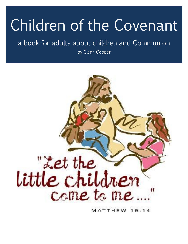# Children of the Covenant

# a book for adults about children and Communion

by Glenn Cooper



MATTHEW 19: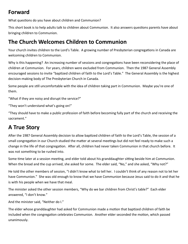#### **Forward**

What questions do you have about children and Communion?

This short book is to help adults talk to children about Communion. It also answers questions parents have about bringing children to Communion.

#### **The Church Welcomes Children to Communion**

Your church invites children to the Lord's Table. A growing number of Presbyterian congregations in Canada are welcoming children to Communion.

Why is this happening? An increasing number of sessions and congregations have been reconsidering the place of children at Communion. For years, children were excluded from Communion. Then the 1987 General Assembly encouraged sessions to invite "baptized children of faith to the Lord's Table." The General Assembly is the highest decision-making body of The Presbyterian Church in Canada.

Some people are still uncomfortable with the idea of children taking part in Communion. Maybe you're one of them.

"What if they are noisy and disrupt the service?"

"They won't understand what's going on!"

"They should have to make a public profession of faith before becoming fully part of the church and receiving the sacrament."

## **A True Story**

After the 1987 General Assembly decision to allow baptized children of faith to the Lord's Table, the session of a small congregation in our Church studied the matter at several meetings but did not feel ready to make such a change in the life of that congregation. After all, children had never taken Communion in that church before. It was not something to be rushed into.

Some time later at a session meeting, and elder told about his granddaughter sitting beside him at Communion. When the bread and the cup arrived, she asked for some. The elder said, "No," and she asked, "Why not?"

He told the other members of session, "I didn't know what to tell her. I couldn't think of any reason not to let her have Communion." She was old enough to know that we have Communion because Jesus said to do it and that he is with his people when we have that meal.

The minister asked the other session members, "Why do we bar children from Christ's table?" Each elder answered, "I don't know."

And the minister said, "Neither do I."

The elder whose granddaughter had asked for Communion made a motion that baptized children of faith be included when the congregation celebrates Communion. Another elder seconded the motion, which passed unanimously.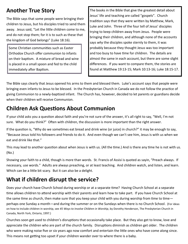## **Another True Story**

The Bible says that some people were bringing their children to Jesus, but his disciples tried to send them away. Jesus said, "Let the little children come to me, and do not stop them; for it is to such as these that the kingdom of God belongs" (Luke 18:16).

Some Christian communities such as Easter Orthodox Church offer communion to infants on their baptism. A mixture of bread and wine is placed in a small spoon and fed to the child immediately after Baptism.

The books in the Bible that give the greatest detail about Jesus' life and teaching are called "gospels". Church tradition says that they were written by Matthew, Mark, Luke and John. Three of the four tell of Jesus' disciples trying to keep children away from Jesus. People were bringing their children, and although none of the accounts says *why* the disciples spoke sternly to them, it was probably because they thought Jesus was too important and too busy to have time for children. The details are almost the same in each account, but there are some slight differences. If you want to compare them, the stories are found at Matthew 19:13-15; Mark 10:13-16; Luke 18:15-17.

The Bible says clearly that Jesus opened his arms to them and blessed them. Luke's account says that people were bringing even infants to Jesus to be blessed. In the Presbyterian Church in Canada we do not follow the practice of giving Communion to a newly-baptized infant. The Church has, however, decided to let parents or guardians decide when their children will receive Communion.

## **Children Ask Questions About Communion**

If your child asks you a question about faith and you're not sure of the answer, it's all right to say, "Well, I'm not sure. What do you think?" Often with children, the discussion is more important than the right answer.

If the question is, "Why do we sometimes eat bread and drink wine (or juice) in church?" it may be enough to say, "Because Jesus told his followers and friends to do it. And even though we can't see him, Jesus is with us when we eat and drink like that."

This may lead to another question about when Jesus is with us. (All the time.) And is there any time he is not with us. (No.)

Showing your faith to a child, though is more than words. St. Francis of Assisi is quoted as sayin, "Preach always. If necessary, use words." Adults are always preaching, or at least teaching. And children watch, and listen, and learn. Which can be a little bit scary. But it can also be a delight.

## **What if children disrupt the service?**

Does your church have Church School during worship or at a separate time? Having Church School at a separate time allows children to attend worship with their parents and learn how to take part. If you have Church School at the same time as church, then make sure that you keep your child with you during worship from time to time perhaps one Sunday a month—and during the summer or on the Sundays when there is no Church School. (For ideas on how to include children in worship, see *45 Ways to Involve Children in Worship*, by Dorothy Henderson, The Presbyterian Church in Canada, North York, Ontario, 1997.)

Churches soon get used to children's disruptions that occasionally take place. But they also get to know, love and appreciate the children who are part of the church family. Disruptions diminish as children get older. The children who were making noise five or six years ago now comfort and entertain the little ones who have come along since. This means not getting too upset if your children wander over to where there is a baby.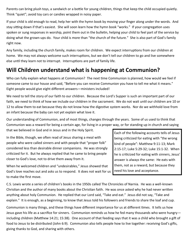Parents can bring plush toys, a sandwich or a bottle for young children, things that keep the child occupied quietly. Think "quiet"; avoid toy cars or candies wrapped in noisy paper.

If your child is old enough to read, help her with the hymn book by moving your finger along under the words. And stay sitting down if that's easiest. She will soon learn how the hymn book "works." If your congregation uses spoken or sung responses in worship, point them out in the bulletin, helping your child to feel part of the service by doing what the grown-ups do. Your child is more than "the church of the future." She is also part of God's family right now.

Any family, including the church family, makes room for children. We expect interruptions from our children at home. We may not always welcome such interruptions, but we don't tell our children to go and live somewhere else until they learn not to interrupt. Interruptions are part of family life.

#### **Will Children understand what is happening at Communion?**

Who can fully explain what happens at Communion? The next time Communion is planned, how would we feel if someone came to our house and said, "Before you can receive Communion you have to tell me what it means." Eight people would give eight different answers—ministers included!

We need to tell the story of our faith to our children. Because the Lord's Supper is such an important part of our faith, we need to think of how we include our children in the sacrament. We do not wait until our children are 10 or 12 to allow them to eat because they do not know how the digestive system works. Nor do we withhold love from an infant because the baby can not yet explain what love it.

Our understanding of Communion, and of most things, changes through the years. Some of us used to think that Communion was a reward for being a certain age, for living in a proper way, or for standing up in church and saying

that we believed in God and in Jesus and in the Holy Spirit.

In the Bible, though, we often read of Jesus sharing a meal with people who were called sinners and with people that "proper folk" considered less than desirable dinner companions. He was strongly criticized for it. But he always replied that he came to bring people closer to God's love, not to drive them away from it.

When he welcomed children and "undesirables," Jesus showed that God's love reaches out and asks us to respond. It does not wait for us to make the first move.

Each of the following accounts tells of Jesus being criticized for eating with "the wrong kind of people": Matthew 9:11-13; Mark 2:15-17; Luke 5:29-32; Luke 15:1-32. When he is criticized for eating with sinners, Jesus' answer is always the same: He eats with them, not as a reward, but because they need his love and acceptance.

C.S. Lewis wrote a series of children's books in the 1950s called The Chronicles of Narnia. He was a well-known Christian and the author of many books about the Christian faith. He was once asked why he had never written anything about holy Communion. He replied that our Lord said, "Take and eat." Jesus did not say, "Take and explain." It is enough, as a beginning, to know that Jesus told his followers and friends to share the loaf and cup.

Communion is many things, and these things have different importance for us at different times. It tells us how Jesus gave his life as a sacrifice for sinners. Communion reminds us how he fed many thousands who were hungry including children (Matthew 14:21; 15:38). One account of that feeding says that it was a child who brought a gift of food to Jesus to be distributed (John 6:9). Communion also tells people how to live together: receiving God's gifts, giving thanks to God, and sharing with others.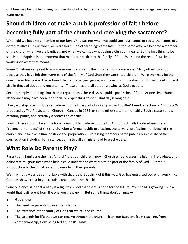Children may be just beginning to understand what happens at Communion. But whatever our age, we can always learn more.

## **Should children not make a public profession of faith before becoming fully part of the church and receiving the sacrament?**

When did we become a member of our family? It was not when we could spell our names or recite the names of a dozen relatives. It was when we were born. The other things came later. In the same way, we become a member of the church when we are baptized, not when we can say what being a Christian means. So the first thing to be said is that Baptism is the moment that marks our birth into the family of God. We spend the rest of our lives working on what that means.

Some Christians can point to a single moment and call it their moment of conversions. Many others can not, because they have felt they were part of the family of God since they were little children. Whatever may be the case in your life, you will have found that faith changes, grows, and develops. It involves us in times of delight, and also in times of doubt and uncertainty. These times are all part of growing as God's people.

Second, simply attending church on a regular basis these days is a public profession of faith. At one time church attendance may have been "the socially proper thing to do." That day is long past.

Third, worship often includes a statement of faith as part of worship—the Apostles' Creed, a section of *Living Faith*, produced by The Presbyterian Church in Canada in 1984, or some other statement of faith. Such a statement is certainly public, and certainly a profession of faith.

Fourth, there will still be a time for a formal public statement of faith. Our Church calls baptized members "covenant members" of the church. After a formal, public profession, the term is "professing members" of the church and it follows a time of study and preparation. Professing members participate fully in the life of the congregation including, for instance, voting to call a minister and to elect elders.

## **What Role Do Parents Play?**

Parents and family are the first "church" that our children know. Church school classes, religion in life badges, and deliberate religious instruction help a child understand what it is to be part of the family of God. But their introduction to the Christian faith comes from their parents.

We may not always be comfortable with that idea. But think of it this way: God has entrusted you with your child. God has shown trust in you to raise, teach, and love the child.

Someone once said that a baby is a sign from God that there is hope for the future. Your child is growing up in a world that is different from the one you grew up in. But some things don't change—

- God's love
- The need for parents to love their children
- The existence of the family of God that we call the church
- The strength for life that we can receive through the church—from our Baptism, from teaching, from companionship, from being fed at Christ's Table.